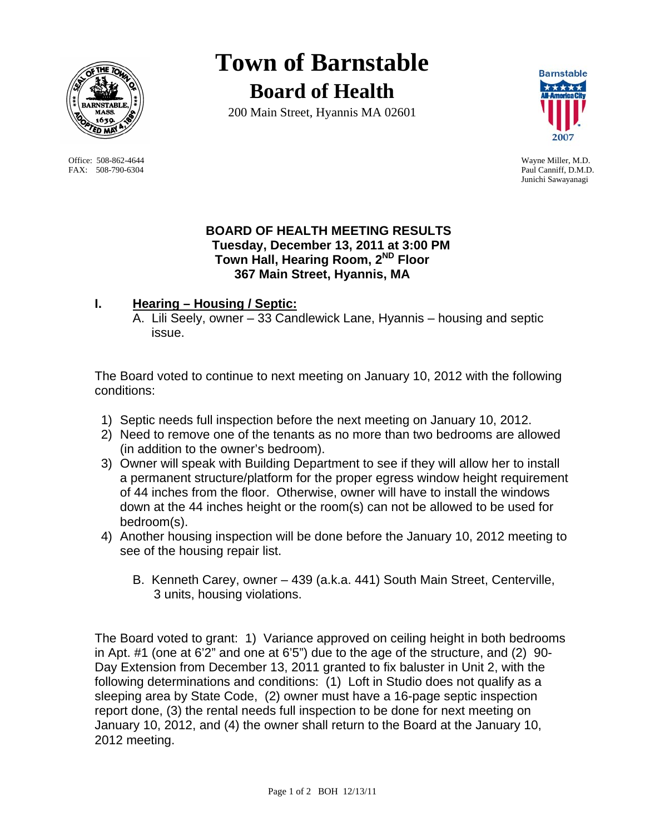

 Office: 508-862-4644 Wayne Miller, M.D. FAX: 508-790-6304 Paul Canniff, D.M.D.

**Town of Barnstable Board of Health**

200 Main Street, Hyannis MA 02601



Junichi Sawayanagi

### **BOARD OF HEALTH MEETING RESULTS Tuesday, December 13, 2011 at 3:00 PM Town Hall, Hearing Room, 2ND Floor 367 Main Street, Hyannis, MA**

# **I. Hearing – Housing / Septic:**

A. Lili Seely, owner – 33 Candlewick Lane, Hyannis – housing and septic issue.

The Board voted to continue to next meeting on January 10, 2012 with the following conditions:

- 1) Septic needs full inspection before the next meeting on January 10, 2012.
- 2) Need to remove one of the tenants as no more than two bedrooms are allowed (in addition to the owner's bedroom).
- 3) Owner will speak with Building Department to see if they will allow her to install a permanent structure/platform for the proper egress window height requirement of 44 inches from the floor. Otherwise, owner will have to install the windows down at the 44 inches height or the room(s) can not be allowed to be used for bedroom(s).
- 4) Another housing inspection will be done before the January 10, 2012 meeting to see of the housing repair list.
	- B. Kenneth Carey, owner 439 (a.k.a. 441) South Main Street, Centerville, 3 units, housing violations.

The Board voted to grant: 1) Variance approved on ceiling height in both bedrooms in Apt. #1 (one at 6'2" and one at 6'5") due to the age of the structure, and (2) 90- Day Extension from December 13, 2011 granted to fix baluster in Unit 2, with the following determinations and conditions: (1) Loft in Studio does not qualify as a sleeping area by State Code, (2) owner must have a 16-page septic inspection report done, (3) the rental needs full inspection to be done for next meeting on January 10, 2012, and (4) the owner shall return to the Board at the January 10, 2012 meeting.